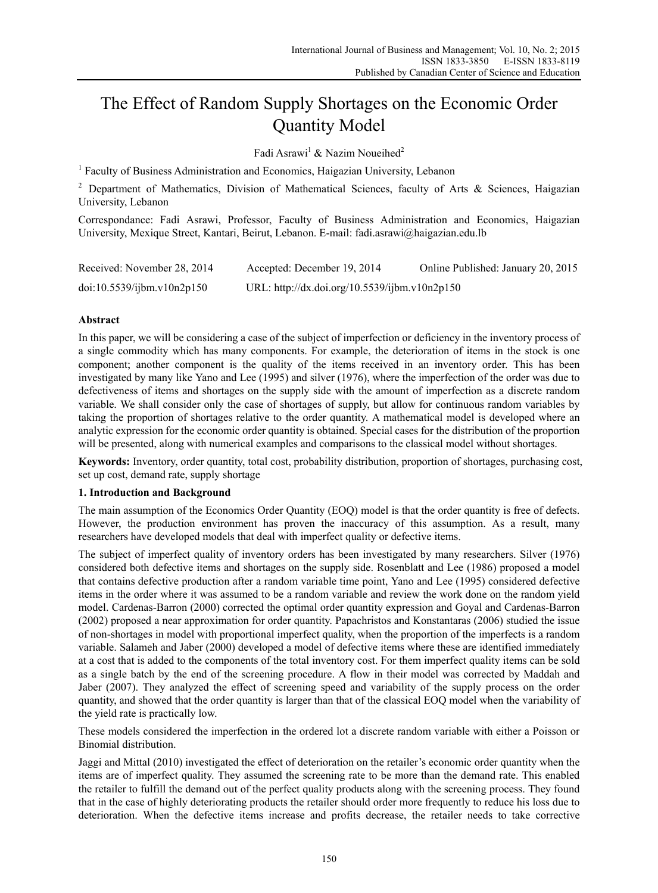# The Effect of Random Supply Shortages on the Economic Order Quantity Model

Fadi Asrawi<sup>1</sup> & Nazim Noueihed<sup>2</sup>

<sup>1</sup> Faculty of Business Administration and Economics, Haigazian University, Lebanon

<sup>2</sup> Department of Mathematics, Division of Mathematical Sciences, faculty of Arts & Sciences, Haigazian University, Lebanon

Correspondance: Fadi Asrawi, Professor, Faculty of Business Administration and Economics, Haigazian University, Mexique Street, Kantari, Beirut, Lebanon. E-mail: fadi.asrawi@haigazian.edu.lb

| Received: November 28, 2014 | Accepted: December 19, 2014                   | Online Published: January 20, 2015 |
|-----------------------------|-----------------------------------------------|------------------------------------|
| doi:10.5539/ijbm.v10n2p150  | URL: http://dx.doi.org/10.5539/ijbm.v10n2p150 |                                    |

# **Abstract**

In this paper, we will be considering a case of the subject of imperfection or deficiency in the inventory process of a single commodity which has many components. For example, the deterioration of items in the stock is one component; another component is the quality of the items received in an inventory order. This has been investigated by many like Yano and Lee (1995) and silver (1976), where the imperfection of the order was due to defectiveness of items and shortages on the supply side with the amount of imperfection as a discrete random variable. We shall consider only the case of shortages of supply, but allow for continuous random variables by taking the proportion of shortages relative to the order quantity. A mathematical model is developed where an analytic expression for the economic order quantity is obtained. Special cases for the distribution of the proportion will be presented, along with numerical examples and comparisons to the classical model without shortages.

**Keywords:** Inventory, order quantity, total cost, probability distribution, proportion of shortages, purchasing cost, set up cost, demand rate, supply shortage

# **1. Introduction and Background**

The main assumption of the Economics Order Quantity (EOQ) model is that the order quantity is free of defects. However, the production environment has proven the inaccuracy of this assumption. As a result, many researchers have developed models that deal with imperfect quality or defective items.

The subject of imperfect quality of inventory orders has been investigated by many researchers. Silver (1976) considered both defective items and shortages on the supply side. Rosenblatt and Lee (1986) proposed a model that contains defective production after a random variable time point, Yano and Lee (1995) considered defective items in the order where it was assumed to be a random variable and review the work done on the random yield model. Cardenas-Barron (2000) corrected the optimal order quantity expression and Goyal and Cardenas-Barron (2002) proposed a near approximation for order quantity. Papachristos and Konstantaras (2006) studied the issue of non-shortages in model with proportional imperfect quality, when the proportion of the imperfects is a random variable. Salameh and Jaber (2000) developed a model of defective items where these are identified immediately at a cost that is added to the components of the total inventory cost. For them imperfect quality items can be sold as a single batch by the end of the screening procedure. A flow in their model was corrected by Maddah and Jaber (2007). They analyzed the effect of screening speed and variability of the supply process on the order quantity, and showed that the order quantity is larger than that of the classical EOQ model when the variability of the yield rate is practically low.

These models considered the imperfection in the ordered lot a discrete random variable with either a Poisson or Binomial distribution.

Jaggi and Mittal (2010) investigated the effect of deterioration on the retailer's economic order quantity when the items are of imperfect quality. They assumed the screening rate to be more than the demand rate. This enabled the retailer to fulfill the demand out of the perfect quality products along with the screening process. They found that in the case of highly deteriorating products the retailer should order more frequently to reduce his loss due to deterioration. When the defective items increase and profits decrease, the retailer needs to take corrective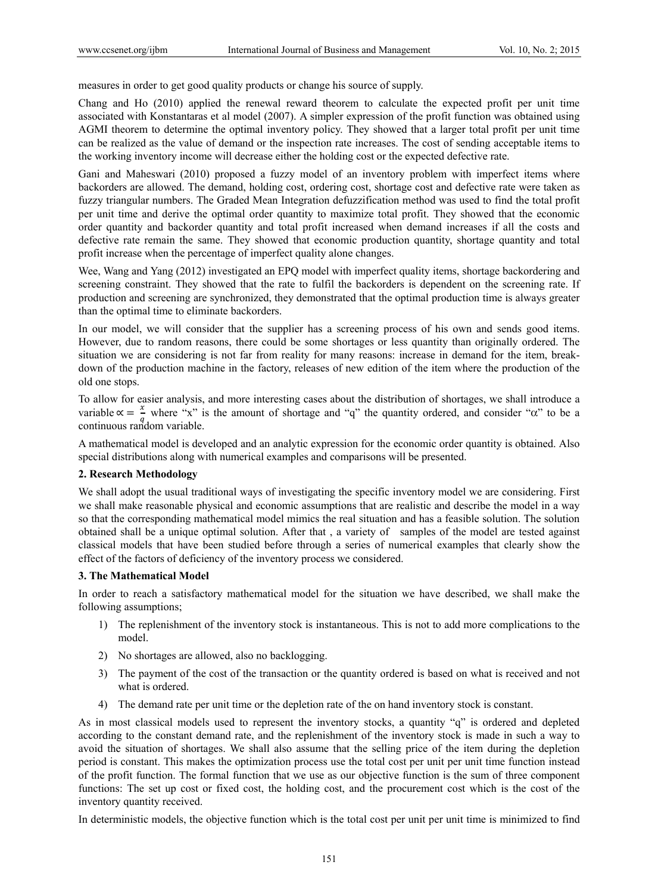measures in order to get good quality products or change his source of supply.

Chang and Ho (2010) applied the renewal reward theorem to calculate the expected profit per unit time associated with Konstantaras et al model (2007). A simpler expression of the profit function was obtained using AGMI theorem to determine the optimal inventory policy. They showed that a larger total profit per unit time can be realized as the value of demand or the inspection rate increases. The cost of sending acceptable items to the working inventory income will decrease either the holding cost or the expected defective rate.

Gani and Maheswari (2010) proposed a fuzzy model of an inventory problem with imperfect items where backorders are allowed. The demand, holding cost, ordering cost, shortage cost and defective rate were taken as fuzzy triangular numbers. The Graded Mean Integration defuzzification method was used to find the total profit per unit time and derive the optimal order quantity to maximize total profit. They showed that the economic order quantity and backorder quantity and total profit increased when demand increases if all the costs and defective rate remain the same. They showed that economic production quantity, shortage quantity and total profit increase when the percentage of imperfect quality alone changes.

Wee, Wang and Yang (2012) investigated an EPQ model with imperfect quality items, shortage backordering and screening constraint. They showed that the rate to fulfil the backorders is dependent on the screening rate. If production and screening are synchronized, they demonstrated that the optimal production time is always greater than the optimal time to eliminate backorders.

In our model, we will consider that the supplier has a screening process of his own and sends good items. However, due to random reasons, there could be some shortages or less quantity than originally ordered. The situation we are considering is not far from reality for many reasons: increase in demand for the item, breakdown of the production machine in the factory, releases of new edition of the item where the production of the old one stops.

To allow for easier analysis, and more interesting cases about the distribution of shortages, we shall introduce a variable  $\alpha = \frac{x}{n}$  where "x" is the amount of shortage and "q" the quantity ordered, and consider " $\alpha$ " to be a  $q \nconfinuous random variable.$ 

A mathematical model is developed and an analytic expression for the economic order quantity is obtained. Also special distributions along with numerical examples and comparisons will be presented.

### **2. Research Methodology**

We shall adopt the usual traditional ways of investigating the specific inventory model we are considering. First we shall make reasonable physical and economic assumptions that are realistic and describe the model in a way so that the corresponding mathematical model mimics the real situation and has a feasible solution. The solution obtained shall be a unique optimal solution. After that , a variety of samples of the model are tested against classical models that have been studied before through a series of numerical examples that clearly show the effect of the factors of deficiency of the inventory process we considered.

### **3. The Mathematical Model**

In order to reach a satisfactory mathematical model for the situation we have described, we shall make the following assumptions;

- 1) The replenishment of the inventory stock is instantaneous. This is not to add more complications to the model.
- 2) No shortages are allowed, also no backlogging.
- 3) The payment of the cost of the transaction or the quantity ordered is based on what is received and not what is ordered.
- 4) The demand rate per unit time or the depletion rate of the on hand inventory stock is constant.

As in most classical models used to represent the inventory stocks, a quantity "q" is ordered and depleted according to the constant demand rate, and the replenishment of the inventory stock is made in such a way to avoid the situation of shortages. We shall also assume that the selling price of the item during the depletion period is constant. This makes the optimization process use the total cost per unit per unit time function instead of the profit function. The formal function that we use as our objective function is the sum of three component functions: The set up cost or fixed cost, the holding cost, and the procurement cost which is the cost of the inventory quantity received.

In deterministic models, the objective function which is the total cost per unit per unit time is minimized to find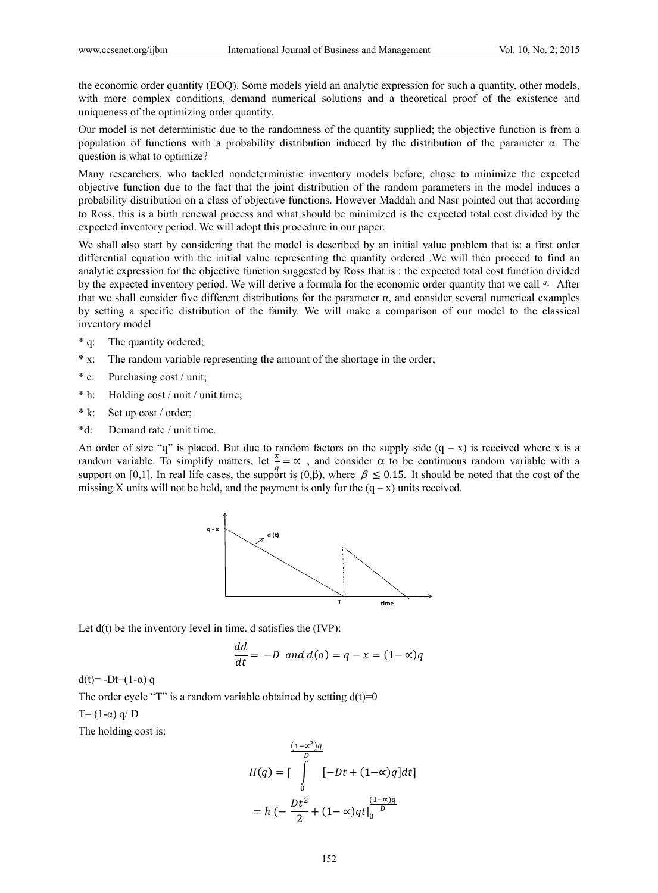the economic order quantity (EOQ). Some models yield an analytic expression for such a quantity, other models, with more complex conditions, demand numerical solutions and a theoretical proof of the existence and uniqueness of the optimizing order quantity.

Our model is not deterministic due to the randomness of the quantity supplied; the objective function is from a population of functions with a probability distribution induced by the distribution of the parameter α. The question is what to optimize?

Many researchers, who tackled nondeterministic inventory models before, chose to minimize the expected objective function due to the fact that the joint distribution of the random parameters in the model induces a probability distribution on a class of objective functions. However Maddah and Nasr pointed out that according to Ross, this is a birth renewal process and what should be minimized is the expected total cost divided by the expected inventory period. We will adopt this procedure in our paper.

We shall also start by considering that the model is described by an initial value problem that is: a first order differential equation with the initial value representing the quantity ordered .We will then proceed to find an analytic expression for the objective function suggested by Ross that is : the expected total cost function divided by the expected inventory period. We will derive a formula for the economic order quantity that we call <sup>*q*</sup>. After that we shall consider five different distributions for the parameter  $α$ , and consider several numerical examples by setting a specific distribution of the family. We will make a comparison of our model to the classical inventory model

- \* q: The quantity ordered;
- \* x: The random variable representing the amount of the shortage in the order;
- \* c: Purchasing cost / unit;
- \* h: Holding cost / unit / unit time;
- \* k: Set up cost / order;
- \*d: Demand rate / unit time.

An order of size "q" is placed. But due to random factors on the supply side  $(q - x)$  is received where x is a random variable. To simplify matters, let  $\frac{x}{x} = \infty$ , and consider  $\alpha$  to be continuous random variable with a support on [0,1]. In real life cases, the support is (0, $\beta$ ), where  $\beta \le 0.15$ . It should be noted that the cost of the missing X units will not be held, and the payment is only for the  $(q - x)$  units received.



Let  $d(t)$  be the inventory level in time. d satisfies the (IVP):

$$
\frac{dd}{dt} = -D \text{ and } d(o) = q - x = (1 - \infty)q
$$

d(t)=  $-Dt+(1-\alpha)$  q

The order cycle "T" is a random variable obtained by setting  $d(t)=0$  $T=(1-\alpha) q/D$ 

The holding cost is:

$$
H(q) = \left[\int_{0}^{\frac{(1-\alpha^2)q}{D}} [-Dt + (1-\alpha)q]dt\right]
$$

$$
= h\left(-\frac{Dt^2}{2} + (1-\alpha)qt\right|_{0}^{\frac{(1-\alpha)q}{D}}
$$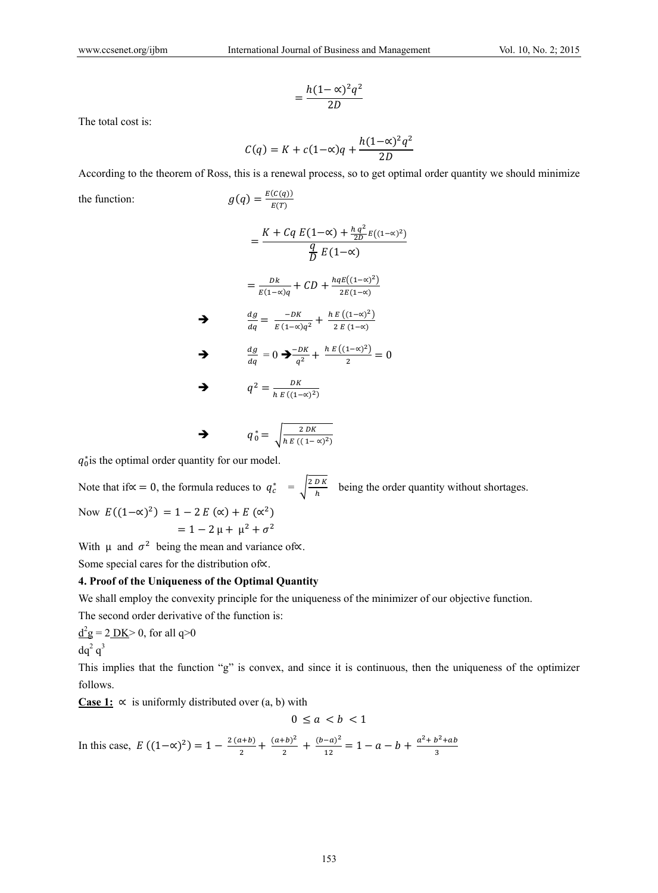$$
=\frac{h(1-\alpha)^2q^2}{2D}
$$

The total cost is:

$$
C(q) = K + c(1-\alpha)q + \frac{h(1-\alpha)^2q^2}{2D}
$$

According to the theorem of Ross, this is a renewal process, so to get optimal order quantity we should minimize

the function:  $g(q) = \frac{E(C(q))}{E(T)}$ 

$$
= \frac{K + Cq E(1-\alpha) + \frac{h q^2}{2D} E((1-\alpha)^2)}{\frac{q}{D} E(1-\alpha)}
$$

$$
= \frac{Dk}{E(1-\alpha)q} + CD + \frac{hqE((1-\alpha)^2)}{2E(1-\alpha)}
$$

$$
\frac{dg}{dq} = \frac{-DK}{E(1-\alpha)q^2} + \frac{h E((1-\alpha)^2)}{2E(1-\alpha)}
$$

$$
\frac{dg}{dq} = 0 \Rightarrow \frac{-DK}{q^2} + \frac{h E((1-\alpha)^2)}{2} = 0
$$

$$
q^2 = \frac{DK}{h E((1-\alpha)^2)}
$$

$$
q_0^* = \sqrt{\frac{2DK}{h E((1-\alpha)^2)}}
$$

 $q_0^*$  is the optimal order quantity for our model.

Note that if∝ = 0, the formula reduces to  $q_c^* = \sqrt{\frac{2DK}{h}}$  being the order quantity without shortages. Now  $E((1-\alpha)^2) = 1 - 2E(\alpha) + E(\alpha^2)$  $= 1 - 2 \mu + \mu^2 + \sigma^2$ 

With  $\mu$  and  $\sigma^2$  being the mean and variance of∝.

Some special cares for the distribution of∝.

# **4. Proof of the Uniqueness of the Optimal Quantity**

We shall employ the convexity principle for the uniqueness of the minimizer of our objective function.

The second order derivative of the function is:

 $d^2g = 2$  DK > 0, for all q > 0  $dq^2 q^3$ 

This implies that the function "g" is convex, and since it is continuous, then the uniqueness of the optimizer follows.

Case 1:  $\propto$  is uniformly distributed over (a, b) with

$$
0 \le a < b < 1
$$

In this case,  $E((1-\alpha)^2) = 1 - \frac{2(a+b)}{2} + \frac{(a+b)^2}{2} + \frac{(b-a)^2}{12} = 1 - a - b + \frac{a^2 + b^2 + ab}{3}$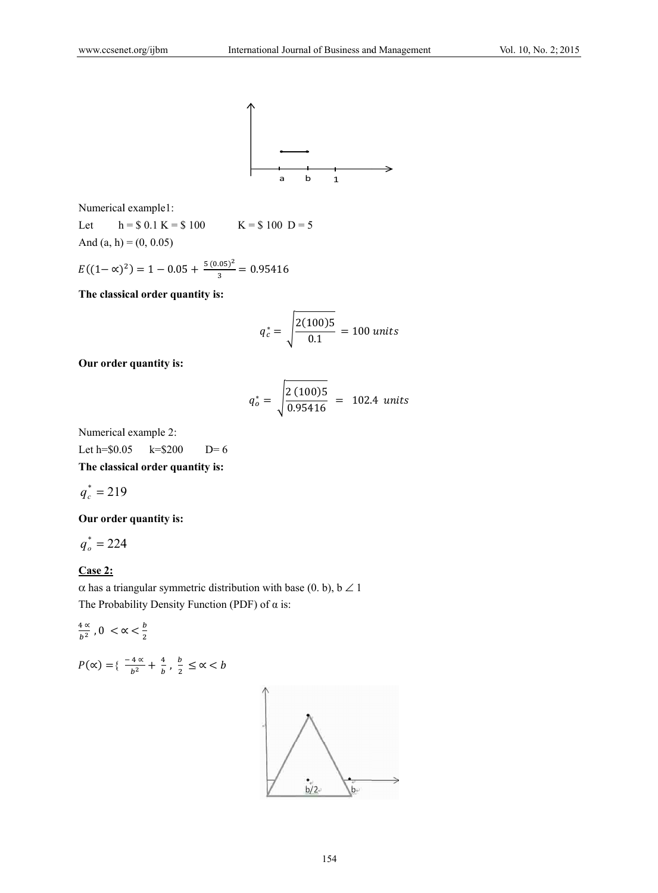

Numerical example1:

Let  $h = $0.1 K = $100$  $K = $100 D = 5$ And  $(a, h) = (0, 0.05)$ 

$$
E((1 - \alpha)^2) = 1 - 0.05 + \frac{5(0.05)^2}{3} = 0.95416
$$

The classical order quantity is:

$$
q_c^* = \sqrt{\frac{2(100)5}{0.1}} = 100 \text{ units}
$$

Our order quantity is:

$$
q_o^* = \sqrt{\frac{2 (100)5}{0.95416}} = 102.4 \text{ units}
$$

Numerical example 2:

Let  $h = $0.05$  $k = $200$  $D=6$ 

The classical order quantity is:

$$
q_c^* = 219
$$

Our order quantity is:

$$
q_o^* = 224
$$

# $Case 2:$

 $\alpha$  has a triangular symmetric distribution with base (0. b), b  $\angle$  1 The Probability Density Function (PDF) of  $\alpha$  is:

$$
\frac{4\alpha}{b^2}, 0 < \alpha < \frac{b}{2}
$$

$$
P(\alpha) = \left\{ \frac{-4\alpha}{b^2} + \frac{4}{b}, \frac{b}{2} \leq \alpha < b \right\}
$$

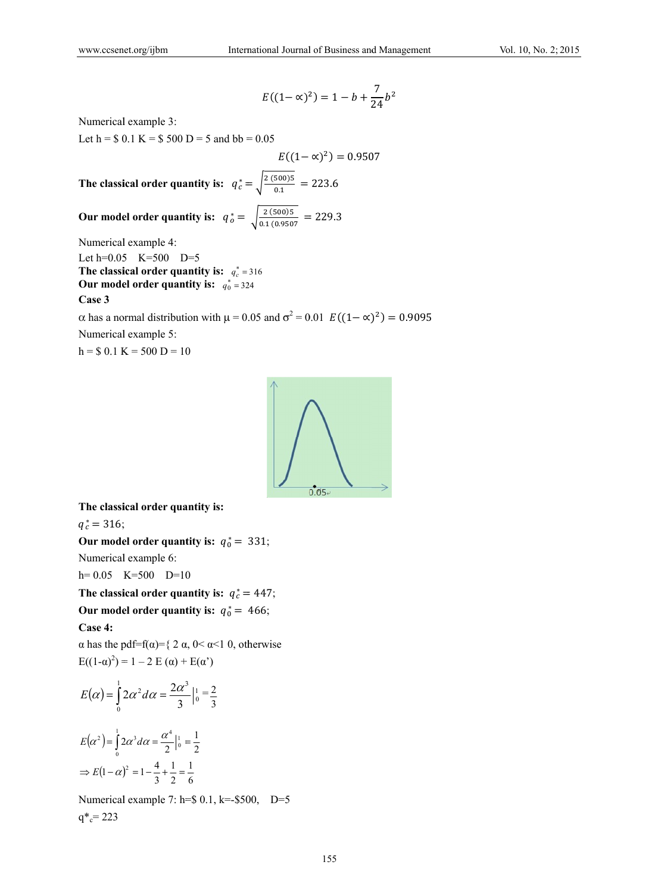$$
E((1 - \alpha)^2) = 1 - b + \frac{7}{24}b^2
$$

Numerical example 3:

Let h =  $$0.1 K = $500 D = 5$  and bb = 0.05

 $E((1-\alpha)^2) = 0.9507$ The classical order quantity is:  $q_c^* = \sqrt{\frac{2 (500)5}{0.1}} = 223.6$ 

Our model order quantity is: 
$$
q_o^* = \sqrt{\frac{2 (500)5}{0.1 (0.9507)}} = 229.3
$$

Numerical example 4:

Let  $h=0.05$  K=500 D=5 The classical order quantity is:  $q_c^* = 316$ Our model order quantity is:  $q_0^* = 324$ Case 3

 $\alpha$  has a normal distribution with  $\mu$  = 0.05 and  $\sigma^2$  = 0.01  $E((1-\alpha)^2) = 0.9095$ Numerical example 5:

 $h = $0.1 K = 500 D = 10$ 



The classical order quantity is:

 $q_c^* = 316;$ 

Our model order quantity is:  $q_0^* = 331$ ;

Numerical example 6:

 $h = 0.05$  K=500 D=10

The classical order quantity is:  $q_c^* = 447$ ;

Our model order quantity is:  $q_0^* = 466$ ;

### Case 4:

 $\alpha$  has the pdf=f( $\alpha$ )={ 2  $\alpha$ , 0<  $\alpha$ <1 0, otherwise  $E((1-\alpha)^2) = 1 - 2 E(\alpha) + E(\alpha^2)$ 

$$
E(\alpha) = \int_{0}^{1} 2\alpha^{2} d\alpha = \frac{2\alpha^{3}}{3} \Big|_{0}^{1} = \frac{2}{3}
$$

$$
E(\alpha^2) = \int_0^1 2\alpha^3 d\alpha = \frac{\alpha^4}{2} \Big|_0^1 = \frac{1}{2}
$$
  
\n
$$
\Rightarrow E(1 - \alpha)^2 = 1 - \frac{4}{3} + \frac{1}{2} = \frac{1}{6}
$$

Numerical example 7: h= $$0.1, k=.$500, D=5$  $q^*c = 223$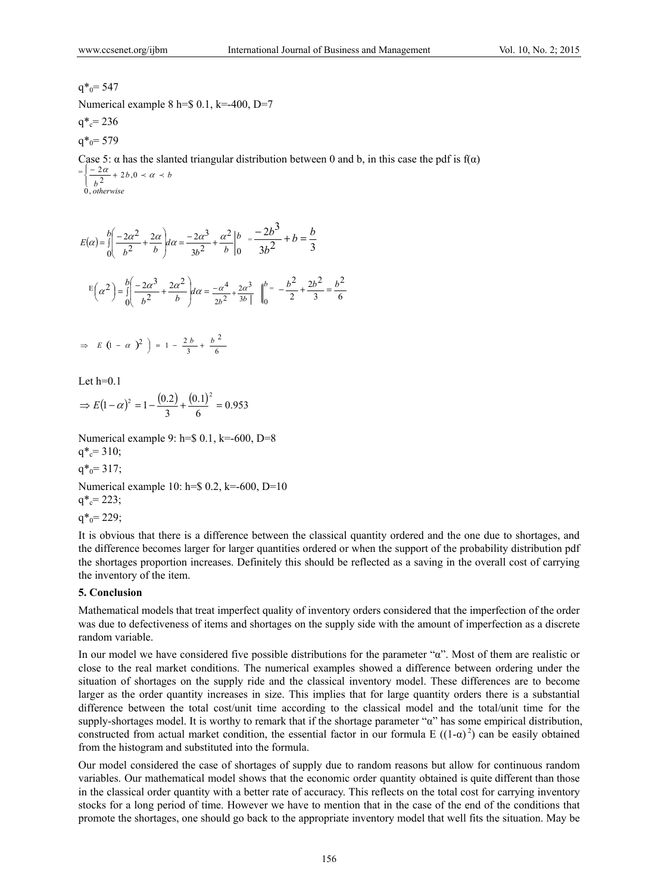# $q^*$ <sub>0</sub>= 547

Numerical example 8 h= $$0.1, k=400, D=7$ 

$$
q^*_{c} = 236
$$

 $q^*$ <sub>0</sub>= 579

Case 5:  $\alpha$  has the slanted triangular distribution between 0 and b, in this case the pdf is  $f(\alpha)$  $=\frac{1-2\alpha}{\alpha}+2b, 0 \prec \alpha \prec b$ *otherwise* 0,  $\left\{\frac{-2\alpha}{b^2}+2b, 0 \prec \alpha \prec$ 

 $(\alpha) = \iint_{0}^{\infty} \frac{2\alpha}{b^2} + \frac{2\alpha}{b} d\alpha = \frac{2\alpha}{3b^2} + \frac{\alpha}{b} \begin{bmatrix} 1 \\ 0 \end{bmatrix}$ 2  $3b^2$  $2\alpha^3$  $\boldsymbol{0}$ 2 2  $\left(2\alpha^2\right)^2\left(2\alpha\right)^3\left(2\alpha^3\right)^2\left(\alpha^2\right)^2$  $d\alpha = \frac{2a}{3b^2} + \frac{a}{b}$ *b*  $E(\alpha) = \int_0^b \left( \frac{-2\alpha^2}{b^2} + \frac{2\alpha}{b} \right) d\alpha = \frac{-2\alpha^3}{3b^2} + \frac{\alpha}{b}$ J  $\backslash$  $\overline{\phantom{a}}$ l  $=\int_{0}^{b} \left(-\frac{2\alpha^{2}}{b^{2}}+\frac{2\alpha}{b}\right) d\alpha = \frac{-2\alpha^{3}}{3b^{2}}+\frac{\alpha^{2}}{b}\bigg|_{0}^{b} = \frac{-2b^{3}}{3b^{2}}+b=\frac{b}{3}$  $\frac{2b^3}{2} + b = \frac{b}{2}$ *b*  $\frac{-2b^3}{2} + b =$  $\mathbb{E}\left(\alpha^2\right) = \int_0^b \frac{-2\alpha^3}{h^2} + \frac{2\alpha^2}{h} d\alpha =$ J λ  $\overline{\phantom{a}}$ l  $\left(\alpha^2\right) = \int_0^b \left(\frac{-2\alpha^3}{b^2} + \frac{2\alpha^2}{b}\right) d\alpha$  $\int_0^b b^2$  *b*  $2\alpha^2$ 2  $\left(2\right) - \frac{b}{1} \left(-2\alpha^{3} + 2\alpha^{2}\right)$  $\mathbf{b}^2$  3b  $\|\mathbf{0}\|_0$  $2\alpha^3$  $\left[\frac{-\alpha^4}{2b^2} + \frac{2\alpha^3}{3b}\right]_0^b = \left[-\frac{b^2}{2} + \frac{2b^2}{3}\right] = \frac{b^4}{6}$ 2 3  $2b^2$  $-\frac{b^2}{2} + \frac{2b^2}{3} = \frac{b}{4}$ 

$$
\Rightarrow E \left(1 - \alpha \right)^2 = 1 - \frac{2b}{3} + \frac{b^2}{6}
$$

Let  $h=0.1$ 

$$
\Rightarrow E(1-\alpha)^2 = 1 - \frac{(0.2)}{3} + \frac{(0.1)^2}{6} = 0.953
$$

Numerical example 9: h=\$ 0.1, k=-600, D=8  $q^*c = 310$ ;

 $q^*_{0} = 317;$ 

Numerical example 10: h=\$ 0.2, k=-600, D=10  $q^*c = 223$ ;

 $q^*$ <sub>0</sub>= 229;

It is obvious that there is a difference between the classical quantity ordered and the one due to shortages, and the difference becomes larger for larger quantities ordered or when the support of the probability distribution pdf the shortages proportion increases. Definitely this should be reflected as a saving in the overall cost of carrying the inventory of the item.

### **5. Conclusion**

Mathematical models that treat imperfect quality of inventory orders considered that the imperfection of the order was due to defectiveness of items and shortages on the supply side with the amount of imperfection as a discrete random variable.

In our model we have considered five possible distributions for the parameter "α". Most of them are realistic or close to the real market conditions. The numerical examples showed a difference between ordering under the situation of shortages on the supply ride and the classical inventory model. These differences are to become larger as the order quantity increases in size. This implies that for large quantity orders there is a substantial difference between the total cost/unit time according to the classical model and the total/unit time for the supply-shortages model. It is worthy to remark that if the shortage parameter "α" has some empirical distribution, constructed from actual market condition, the essential factor in our formula E  $((1-\alpha)^2)$  can be easily obtained from the histogram and substituted into the formula.

Our model considered the case of shortages of supply due to random reasons but allow for continuous random variables. Our mathematical model shows that the economic order quantity obtained is quite different than those in the classical order quantity with a better rate of accuracy. This reflects on the total cost for carrying inventory stocks for a long period of time. However we have to mention that in the case of the end of the conditions that promote the shortages, one should go back to the appropriate inventory model that well fits the situation. May be